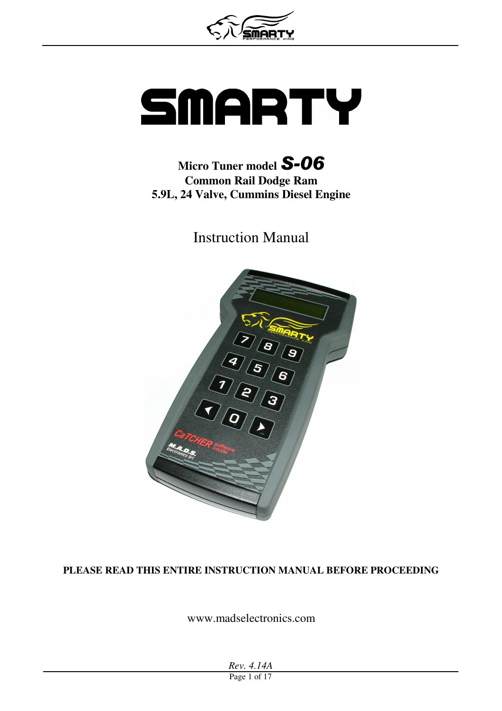# SMARTY

## **Micro Tuner model** *S-06* **Common Rail Dodge Ram 5.9L, 24 Valve, Cummins Diesel Engine**

Instruction Manual



#### **PLEASE READ THIS ENTIRE INSTRUCTION MANUAL BEFORE PROCEEDING**

www.madselectronics.com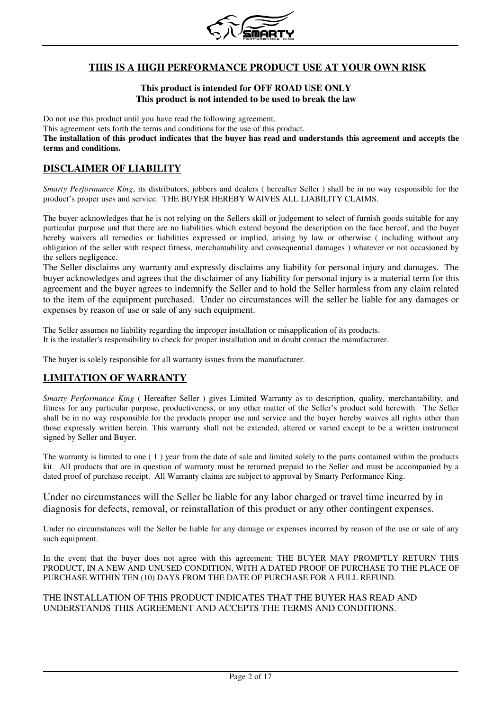

#### **THIS IS A HIGH PERFORMANCE PRODUCT USE AT YOUR OWN RISK**

#### **This product is intended for OFF ROAD USE ONLY This product is not intended to be used to break the law**

Do not use this product until you have read the following agreement.

This agreement sets forth the terms and conditions for the use of this product.

**The installation of this product indicates that the buyer has read and understands this agreement and accepts the terms and conditions.**

#### **DISCLAIMER OF LIABILITY**

*Smarty Performance King*, its distributors, jobbers and dealers ( hereafter Seller ) shall be in no way responsible for the product's proper uses and service. THE BUYER HEREBY WAIVES ALL LIABILITY CLAIMS.

The buyer acknowledges that he is not relying on the Sellers skill or judgement to select of furnish goods suitable for any particular purpose and that there are no liabilities which extend beyond the description on the face hereof, and the buyer hereby waivers all remedies or liabilities expressed or implied, arising by law or otherwise (including without any obligation of the seller with respect fitness, merchantability and consequential damages ) whatever or not occasioned by the sellers negligence.

The Seller disclaims any warranty and expressly disclaims any liability for personal injury and damages. The buyer acknowledges and agrees that the disclaimer of any liability for personal injury is a material term for this agreement and the buyer agrees to indemnify the Seller and to hold the Seller harmless from any claim related to the item of the equipment purchased. Under no circumstances will the seller be liable for any damages or expenses by reason of use or sale of any such equipment.

The Seller assumes no liability regarding the improper installation or misapplication of its products. It is the installer's responsibility to check for proper installation and in doubt contact the manufacturer.

The buyer is solely responsible for all warranty issues from the manufacturer.

#### **LIMITATION OF WARRANTY**

*Smarty Performance King* ( Hereafter Seller ) gives Limited Warranty as to description, quality, merchantability, and fitness for any particular purpose, productiveness, or any other matter of the Seller's product sold herewith. The Seller shall be in no way responsible for the products proper use and service and the buyer hereby waives all rights other than those expressly written herein. This warranty shall not be extended, altered or varied except to be a written instrument signed by Seller and Buyer.

The warranty is limited to one ( 1 ) year from the date of sale and limited solely to the parts contained within the products kit. All products that are in question of warranty must be returned prepaid to the Seller and must be accompanied by a dated proof of purchase receipt. All Warranty claims are subject to approval by Smarty Performance King.

Under no circumstances will the Seller be liable for any labor charged or travel time incurred by in diagnosis for defects, removal, or reinstallation of this product or any other contingent expenses.

Under no circumstances will the Seller be liable for any damage or expenses incurred by reason of the use or sale of any such equipment.

In the event that the buyer does not agree with this agreement: THE BUYER MAY PROMPTLY RETURN THIS PRODUCT, IN A NEW AND UNUSED CONDITION, WITH A DATED PROOF OF PURCHASE TO THE PLACE OF PURCHASE WITHIN TEN (10) DAYS FROM THE DATE OF PURCHASE FOR A FULL REFUND.

#### THE INSTALLATION OF THIS PRODUCT INDICATES THAT THE BUYER HAS READ AND UNDERSTANDS THIS AGREEMENT AND ACCEPTS THE TERMS AND CONDITIONS.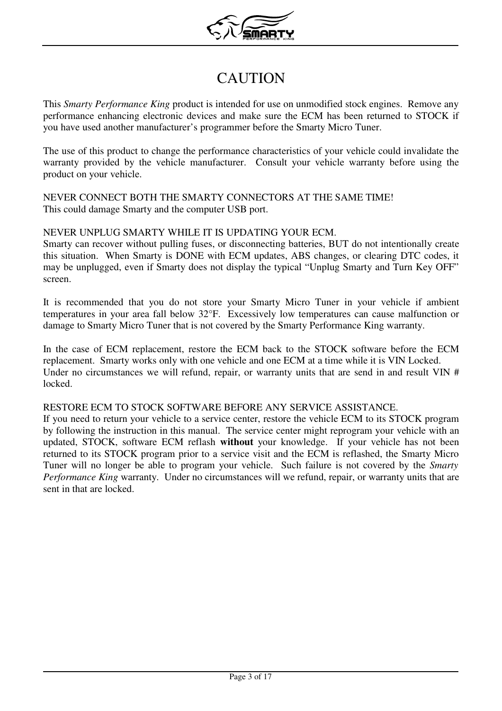

# CAUTION

This *Smarty Performance King* product is intended for use on unmodified stock engines. Remove any performance enhancing electronic devices and make sure the ECM has been returned to STOCK if you have used another manufacturer's programmer before the Smarty Micro Tuner.

The use of this product to change the performance characteristics of your vehicle could invalidate the warranty provided by the vehicle manufacturer. Consult your vehicle warranty before using the product on your vehicle.

NEVER CONNECT BOTH THE SMARTY CONNECTORS AT THE SAME TIME! This could damage Smarty and the computer USB port.

#### NEVER UNPLUG SMARTY WHILE IT IS UPDATING YOUR ECM.

Smarty can recover without pulling fuses, or disconnecting batteries, BUT do not intentionally create this situation. When Smarty is DONE with ECM updates, ABS changes, or clearing DTC codes, it may be unplugged, even if Smarty does not display the typical "Unplug Smarty and Turn Key OFF" screen.

It is recommended that you do not store your Smarty Micro Tuner in your vehicle if ambient temperatures in your area fall below 32°F. Excessively low temperatures can cause malfunction or damage to Smarty Micro Tuner that is not covered by the Smarty Performance King warranty.

In the case of ECM replacement, restore the ECM back to the STOCK software before the ECM replacement. Smarty works only with one vehicle and one ECM at a time while it is VIN Locked. Under no circumstances we will refund, repair, or warranty units that are send in and result VIN # locked.

#### RESTORE ECM TO STOCK SOFTWARE BEFORE ANY SERVICE ASSISTANCE.

If you need to return your vehicle to a service center, restore the vehicle ECM to its STOCK program by following the instruction in this manual. The service center might reprogram your vehicle with an updated, STOCK, software ECM reflash **without** your knowledge. If your vehicle has not been returned to its STOCK program prior to a service visit and the ECM is reflashed, the Smarty Micro Tuner will no longer be able to program your vehicle. Such failure is not covered by the *Smarty Performance King* warranty. Under no circumstances will we refund, repair, or warranty units that are sent in that are locked.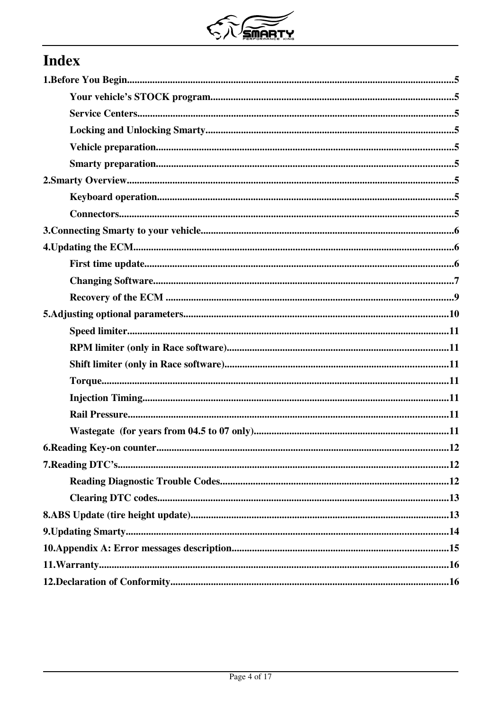

# **Index**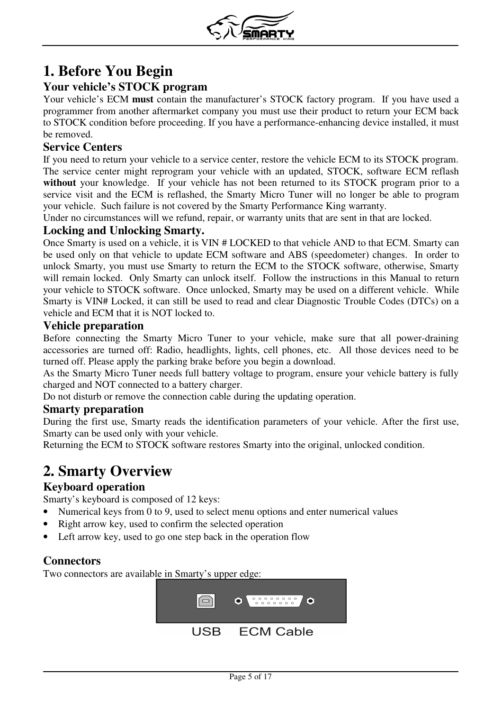

# **1. Before You Begin**

#### **Your vehicle's STOCK program**

Your vehicle's ECM **must** contain the manufacturer's STOCK factory program. If you have used a programmer from another aftermarket company you must use their product to return your ECM back to STOCK condition before proceeding. If you have a performance-enhancing device installed, it must be removed.

#### **Service Centers**

If you need to return your vehicle to a service center, restore the vehicle ECM to its STOCK program. The service center might reprogram your vehicle with an updated, STOCK, software ECM reflash **without** your knowledge. If your vehicle has not been returned to its STOCK program prior to a service visit and the ECM is reflashed, the Smarty Micro Tuner will no longer be able to program your vehicle. Such failure is not covered by the Smarty Performance King warranty.

Under no circumstances will we refund, repair, or warranty units that are sent in that are locked.

#### **Locking and Unlocking Smarty.**

Once Smarty is used on a vehicle, it is VIN # LOCKED to that vehicle AND to that ECM. Smarty can be used only on that vehicle to update ECM software and ABS (speedometer) changes. In order to unlock Smarty, you must use Smarty to return the ECM to the STOCK software, otherwise, Smarty will remain locked. Only Smarty can unlock itself. Follow the instructions in this Manual to return your vehicle to STOCK software. Once unlocked, Smarty may be used on a different vehicle. While Smarty is VIN# Locked, it can still be used to read and clear Diagnostic Trouble Codes (DTCs) on a vehicle and ECM that it is NOT locked to.

#### **Vehicle preparation**

Before connecting the Smarty Micro Tuner to your vehicle, make sure that all power-draining accessories are turned off: Radio, headlights, lights, cell phones, etc. All those devices need to be turned off. Please apply the parking brake before you begin a download.

As the Smarty Micro Tuner needs full battery voltage to program, ensure your vehicle battery is fully charged and NOT connected to a battery charger.

Do not disturb or remove the connection cable during the updating operation.

#### **Smarty preparation**

During the first use, Smarty reads the identification parameters of your vehicle. After the first use, Smarty can be used only with your vehicle.

Returning the ECM to STOCK software restores Smarty into the original, unlocked condition.

## **2. Smarty Overview**

#### **Keyboard operation**

Smarty's keyboard is composed of 12 keys:

- Numerical keys from 0 to 9, used to select menu options and enter numerical values
- Right arrow key, used to confirm the selected operation
- Left arrow key, used to go one step back in the operation flow

#### **Connectors**

Two connectors are available in Smarty's upper edge:

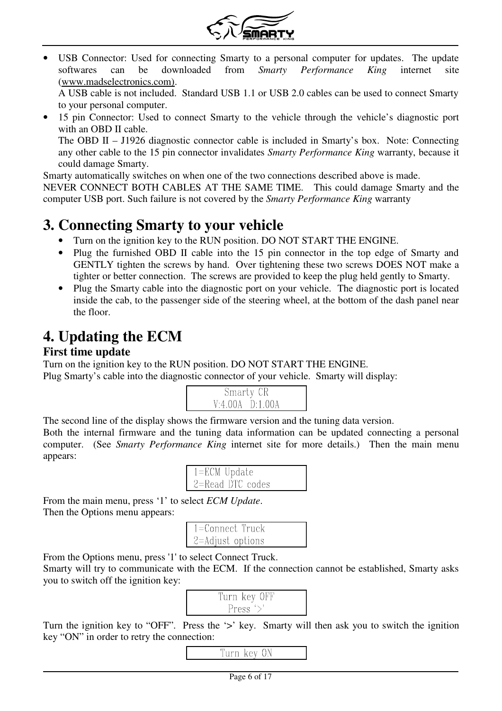

USB Connector: Used for connecting Smarty to a personal computer for updates. The update softwares can be downloaded from *Smarty Performance King* internet site (www.madselectronics.com).

A USB cable is not included. Standard USB 1.1 or USB 2.0 cables can be used to connect Smarty to your personal computer.

• 15 pin Connector: Used to connect Smarty to the vehicle through the vehicle's diagnostic port with an OBD II cable.

The OBD II – J1926 diagnostic connector cable is included in Smarty's box. Note: Connecting any other cable to the 15 pin connector invalidates *Smarty Performance King* warranty, because it could damage Smarty.

Smarty automatically switches on when one of the two connections described above is made.

NEVER CONNECT BOTH CABLES AT THE SAME TIME. This could damage Smarty and the computer USB port. Such failure is not covered by the *Smarty Performance King* warranty

## **3. Connecting Smarty to your vehicle**

- Turn on the ignition key to the RUN position. DO NOT START THE ENGINE.
- Plug the furnished OBD II cable into the 15 pin connector in the top edge of Smarty and GENTLY tighten the screws by hand. Over tightening these two screws DOES NOT make a tighter or better connection. The screws are provided to keep the plug held gently to Smarty.
- Plug the Smarty cable into the diagnostic port on your vehicle. The diagnostic port is located inside the cab, to the passenger side of the steering wheel, at the bottom of the dash panel near the floor.

# **4. Updating the ECM**

#### **First time update**

Turn on the ignition key to the RUN position. DO NOT START THE ENGINE. Plug Smarty's cable into the diagnostic connector of your vehicle. Smarty will display:



The second line of the display shows the firmware version and the tuning data version.

Both the internal firmware and the tuning data information can be updated connecting a personal computer. (See *Smarty Performance King* internet site for more details.) Then the main menu appears:

| $1 = ECM$ Update     |  |
|----------------------|--|
| $2 =$ Read DTC codes |  |

From the main menu, press '1' to select *ECM Update*. Then the Options menu appears:

| 1=Connect Truck  |  |
|------------------|--|
| 2=Adjust options |  |

From the Options menu, press '1' to select Connect Truck.

Smarty will try to communicate with the ECM. If the connection cannot be established, Smarty asks you to switch off the ignition key:

| Turn key OFF |  |
|--------------|--|
| Press $\geq$ |  |

Turn the ignition key to "OFF". Press the '>' key. Smarty will then ask you to switch the ignition key "ON" in order to retry the connection:

#### Turn key ON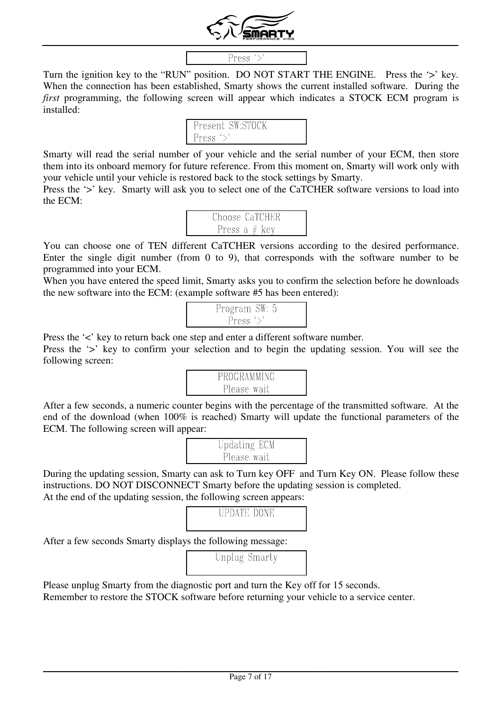

#### Press  $\rightarrow$

Turn the ignition key to the "RUN" position. DO NOT START THE ENGINE. Press the '>' key. When the connection has been established, Smarty shows the current installed software. During the *first* programming, the following screen will appear which indicates a STOCK ECM program is installed:

| Present SW:STOCK |  |
|------------------|--|
| Press $\geq$     |  |

Smarty will read the serial number of your vehicle and the serial number of your ECM, then store them into its onboard memory for future reference. From this moment on, Smarty will work only with your vehicle until your vehicle is restored back to the stock settings by Smarty.

Press the '>' key. Smarty will ask you to select one of the CaTCHER software versions to load into the ECM:

| Choose CaTCHER  |
|-----------------|
| Press a $#$ key |

You can choose one of TEN different CaTCHER versions according to the desired performance. Enter the single digit number (from 0 to 9), that corresponds with the software number to be programmed into your ECM.

When you have entered the speed limit, Smarty asks you to confirm the selection before he downloads the new software into the ECM: (example software #5 has been entered):

Press the '<' key to return back one step and enter a different software number.

Press the '>' key to confirm your selection and to begin the updating session. You will see the following screen:



After a few seconds, a numeric counter begins with the percentage of the transmitted software. At the end of the download (when 100% is reached) Smarty will update the functional parameters of the ECM. The following screen will appear:

During the updating session, Smarty can ask to Turn key OFF and Turn Key ON. Please follow these instructions. DO NOT DISCONNECT Smarty before the updating session is completed. At the end of the updating session, the following screen appears:

#### **UPDATE DONE**

After a few seconds Smarty displays the following message:

|  | Unplug Smarty |  |
|--|---------------|--|
|  |               |  |

Please unplug Smarty from the diagnostic port and turn the Key off for 15 seconds.

Remember to restore the STOCK software before returning your vehicle to a service center.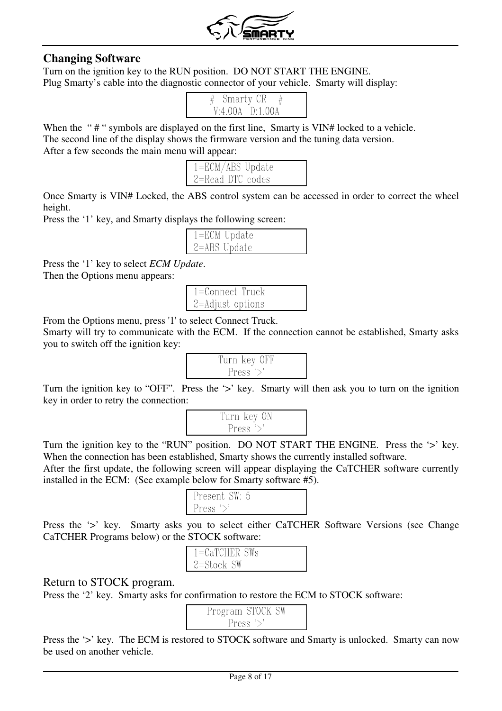

#### **Changing Software**

Turn on the ignition key to the RUN position. DO NOT START THE ENGINE. Plug Smarty's cable into the diagnostic connector of your vehicle. Smarty will display:



When the "#" symbols are displayed on the first line, Smarty is VIN# locked to a vehicle. The second line of the display shows the firmware version and the tuning data version. After a few seconds the main menu will appear:

| $1 = ECM/ABS$ Update |  |
|----------------------|--|
| 2=Read DTC codes     |  |

Once Smarty is VIN# Locked, the ABS control system can be accessed in order to correct the wheel height.

Press the '1' key, and Smarty displays the following screen:

| $1 = ECM$ Update |  |
|------------------|--|
| $2 = ABS$ Update |  |

Press the '1' key to select *ECM Update*.

Then the Options menu appears:

| l 1=Connect Truck        |  |
|--------------------------|--|
| $\vert$ 2=Adjust options |  |

From the Options menu, press '1' to select Connect Truck.

Smarty will try to communicate with the ECM. If the connection cannot be established, Smarty asks you to switch off the ignition key:



Turn the ignition key to "OFF". Press the '>' key. Smarty will then ask you to turn on the ignition key in order to retry the connection:



Turn the ignition key to the "RUN" position. DO NOT START THE ENGINE. Press the '>' key. When the connection has been established, Smarty shows the currently installed software.

After the first update, the following screen will appear displaying the CaTCHER software currently installed in the ECM: (See example below for Smarty software #5).

| l Present SW: 5 |  |
|-----------------|--|
|                 |  |
| l Press         |  |
|                 |  |

Press the '>' key. Smarty asks you to select either CaTCHER Software Versions (see Change CaTCHER Programs below) or the STOCK software:

| $1 = CaTCHER$ SWs |  |
|-------------------|--|
| $2 = StockSW$     |  |

#### Return to STOCK program.

Press the '2' key. Smarty asks for confirmation to restore the ECM to STOCK software:

| Program STOCK SW |
|------------------|
| Press $\geq$     |

Press the '>' key. The ECM is restored to STOCK software and Smarty is unlocked. Smarty can now be used on another vehicle.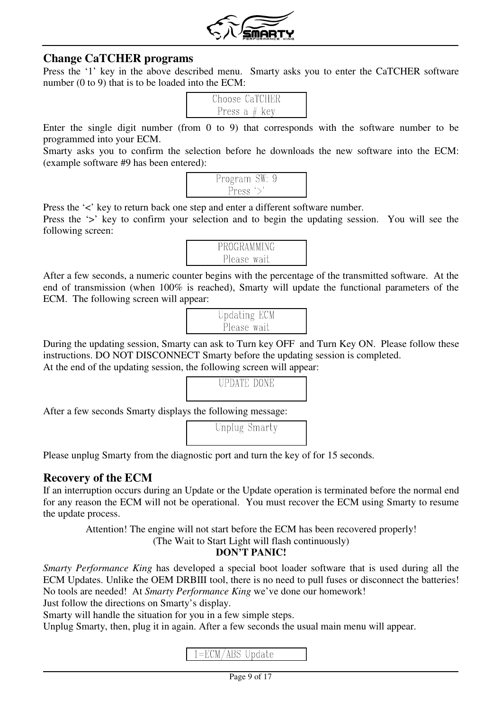

#### **Change CaTCHER programs**

Press the '1' key in the above described menu. Smarty asks you to enter the CaTCHER software number (0 to 9) that is to be loaded into the ECM:

| Choose CaTCHER  |
|-----------------|
| Press a $#$ key |

Enter the single digit number (from 0 to 9) that corresponds with the software number to be programmed into your ECM.

Smarty asks you to confirm the selection before he downloads the new software into the ECM: (example software #9 has been entered):



Press the '<' key to return back one step and enter a different software number. Press the '>' key to confirm your selection and to begin the updating session. You will see the following screen:



After a few seconds, a numeric counter begins with the percentage of the transmitted software. At the end of transmission (when 100% is reached), Smarty will update the functional parameters of the ECM. The following screen will appear:

During the updating session, Smarty can ask to Turn key OFF and Turn Key ON. Please follow these instructions. DO NOT DISCONNECT Smarty before the updating session is completed. At the end of the updating session, the following screen will appear:

# **UPDATE DONE**

After a few seconds Smarty displays the following message:

Unplug Smarty

Please unplug Smarty from the diagnostic port and turn the key of for 15 seconds.

#### **Recovery of the ECM**

If an interruption occurs during an Update or the Update operation is terminated before the normal end for any reason the ECM will not be operational. You must recover the ECM using Smarty to resume the update process.

Attention! The engine will not start before the ECM has been recovered properly!

(The Wait to Start Light will flash continuously)

#### **DON'T PANIC!**

*Smarty Performance King* has developed a special boot loader software that is used during all the ECM Updates. Unlike the OEM DRBIII tool, there is no need to pull fuses or disconnect the batteries! No tools are needed! At *Smarty Performance King* we've done our homework!

Just follow the directions on Smarty's display.

Smarty will handle the situation for you in a few simple steps.

Unplug Smarty, then, plug it in again. After a few seconds the usual main menu will appear.

#### $1 = ECM/ABS$  Update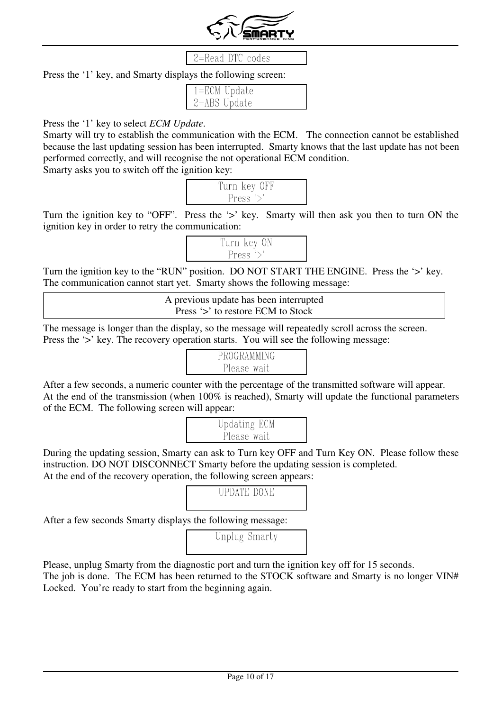

#### 2=Read DTC codes

Press the '1' key, and Smarty displays the following screen:

| $1 = ECM$ Update |  |
|------------------|--|
| $2 = ABS$ Update |  |

#### Press the '1' key to select *ECM Update*.

Smarty will try to establish the communication with the ECM. The connection cannot be established because the last updating session has been interrupted. Smarty knows that the last update has not been performed correctly, and will recognise the not operational ECM condition. Smarty asks you to switch off the ignition key:

| Turn key OFF |  |
|--------------|--|
| Press $\geq$ |  |

Turn the ignition key to "OFF". Press the '>' key. Smarty will then ask you then to turn ON the ignition key in order to retry the communication:



Turn the ignition key to the "RUN" position. DO NOT START THE ENGINE. Press the '>' key. The communication cannot start yet. Smarty shows the following message:

> A previous update has been interrupted Press '>' to restore ECM to Stock

The message is longer than the display, so the message will repeatedly scroll across the screen. Press the '>' key. The recovery operation starts. You will see the following message:



After a few seconds, a numeric counter with the percentage of the transmitted software will appear. At the end of the transmission (when 100% is reached), Smarty will update the functional parameters of the ECM. The following screen will appear:

| Updating ECM |  |
|--------------|--|
| Please wait  |  |

During the updating session, Smarty can ask to Turn key OFF and Turn Key ON. Please follow these instruction. DO NOT DISCONNECT Smarty before the updating session is completed. At the end of the recovery operation, the following screen appears:

## **UPDATE DONE**

After a few seconds Smarty displays the following message:

Unplug Smarty

Please, unplug Smarty from the diagnostic port and turn the ignition key off for 15 seconds. The job is done. The ECM has been returned to the STOCK software and Smarty is no longer VIN# Locked. You're ready to start from the beginning again.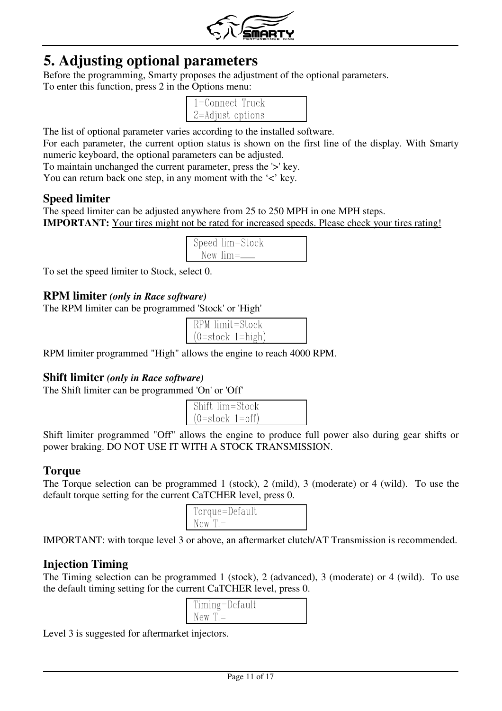

## **5. Adjusting optional parameters**

Before the programming, Smarty proposes the adjustment of the optional parameters. To enter this function, press 2 in the Options menu:

| $1 =$ Connect Truck |  |
|---------------------|--|
| 2=Adjust options    |  |

The list of optional parameter varies according to the installed software.

For each parameter, the current option status is shown on the first line of the display. With Smarty numeric keyboard, the optional parameters can be adjusted.

To maintain unchanged the current parameter, press the '>' key.

You can return back one step, in any moment with the '<' key.

#### **Speed limiter**

The speed limiter can be adjusted anywhere from 25 to 250 MPH in one MPH steps. **IMPORTANT:** Your tires might not be rated for increased speeds. Please check your tires rating!

| Speed lim=Stock |
|-----------------|
| New $lim=$      |

To set the speed limiter to Stock, select 0.

#### **RPM limiter** *(only in Race software)*

The RPM limiter can be programmed 'Stock' or 'High'

| RPM limit=Stock    |  |
|--------------------|--|
| $(0=stock 1=high)$ |  |

RPM limiter programmed "High" allows the engine to reach 4000 RPM.

#### **Shift limiter** *(only in Race software)*

The Shift limiter can be programmed 'On' or 'Off'

| Shift lim=Stock   |  |
|-------------------|--|
| $(0=stock 1=off)$ |  |

Shift limiter programmed "Off" allows the engine to produce full power also during gear shifts or power braking. DO NOT USE IT WITH A STOCK TRANSMISSION.

#### **Torque**

The Torque selection can be programmed 1 (stock), 2 (mild), 3 (moderate) or 4 (wild). To use the default torque setting for the current CaTCHER level, press 0.

| Torque=Default |  |
|----------------|--|
| $New T =$      |  |

IMPORTANT: with torque level 3 or above, an aftermarket clutch/AT Transmission is recommended.

#### **Injection Timing**

The Timing selection can be programmed 1 (stock), 2 (advanced), 3 (moderate) or 4 (wild). To use the default timing setting for the current CaTCHER level, press 0.

| Timing=Default |  |
|----------------|--|
| $New T =$      |  |

Level 3 is suggested for aftermarket injectors.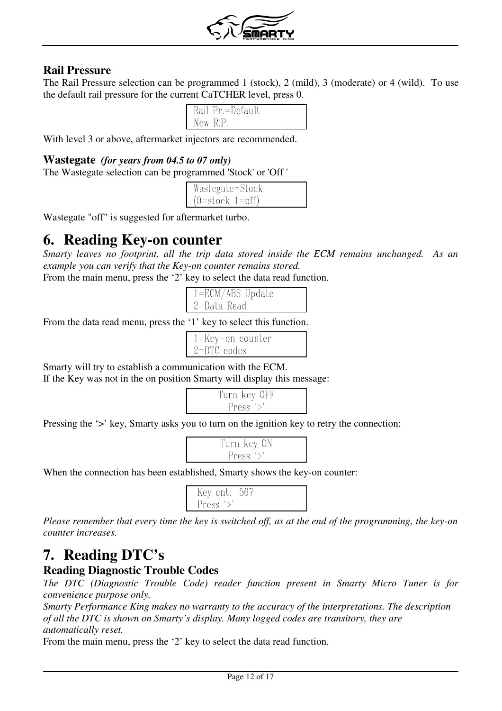

#### **Rail Pressure**

The Rail Pressure selection can be programmed 1 (stock), 2 (mild), 3 (moderate) or 4 (wild). To use the default rail pressure for the current CaTCHER level, press 0.

| Rail Pr.=Default |  |
|------------------|--|
| New $R.P. =$     |  |

With level 3 or above, aftermarket injectors are recommended.

#### **Wastegate** *(for years from 04.5 to 07 only)*

The Wastegate selection can be programmed 'Stock' or 'Off '

| Wastegate=Stock   |  |
|-------------------|--|
| $(0=stock 1=off)$ |  |

Wastegate "off" is suggested for aftermarket turbo.

## **6. Reading Key-on counter**

*Smarty leaves no footprint, all the trip data stored inside the ECM remains unchanged. As an example you can verify that the Key-on counter remains stored.*

From the main menu, press the '2' key to select the data read function.

| $1 = ECM/ABS$ Update |  |
|----------------------|--|
| 2=Data Read          |  |

From the data read menu, press the '1' key to select this function.

| $1 = Key-on counter$ |  |
|----------------------|--|
| $2=DTC$ codes        |  |

Smarty will try to establish a communication with the ECM.

If the Key was not in the on position Smarty will display this message:

|  | Turn key OFF |  |
|--|--------------|--|
|  | Press $\geq$ |  |

Pressing the '>' key, Smarty asks you to turn on the ignition key to retry the connection:

| Turn key ON |  |
|-------------|--|
| Press '>    |  |

When the connection has been established, Smarty shows the key-on counter:

| Key cnt: 567 |  |  |
|--------------|--|--|
| Press $\geq$ |  |  |

*Please remember that every time the key is switched off, as at the end of the programming, the key-on counter increases.*

# **7. Reading DTC's**

#### **Reading Diagnostic Trouble Codes**

*The DTC (Diagnostic Trouble Code) reader function present in Smarty Micro Tuner is for convenience purpose only.* 

*Smarty Performance King makes no warranty to the accuracy of the interpretations. The description of all the DTC is shown on Smarty's display. Many logged codes are transitory, they are automatically reset.*

From the main menu, press the '2' key to select the data read function.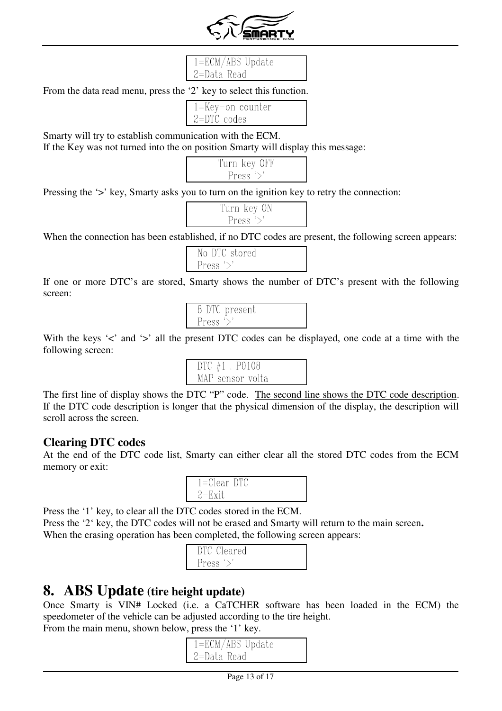

#### $1 = ECM/ABS$  Update 2=Data Read

From the data read menu, press the '2' key to select this function.

| $1 = Key-on counter$ |  |
|----------------------|--|
|                      |  |
| $2=$ DTC codes       |  |
|                      |  |

Smarty will try to establish communication with the ECM.

If the Key was not turned into the on position Smarty will display this message:

| Turn key OFF |  |
|--------------|--|
| Press $\geq$ |  |

Pressing the '>' key, Smarty asks you to turn on the ignition key to retry the connection:

| Turn key ON  |  |
|--------------|--|
| Press $\geq$ |  |

When the connection has been established, if no DTC codes are present, the following screen appears:

| No DTC stored        |
|----------------------|
| Press $\mathcal{P}'$ |

If one or more DTC's are stored, Smarty shows the number of DTC's present with the following screen:

| 8 DTC present        |  |
|----------------------|--|
| Press $\mathcal{P}'$ |  |

With the keys  $\leq$  and  $\geq$  all the present DTC codes can be displayed, one code at a time with the following screen:

| DTC $#1$ . P0108 |
|------------------|
| MAP sensor volta |

The first line of display shows the DTC "P" code. The second line shows the DTC code description. If the DTC code description is longer that the physical dimension of the display, the description will scroll across the screen.

#### **Clearing DTC codes**

At the end of the DTC code list, Smarty can either clear all the stored DTC codes from the ECM memory or exit:

| $1 =$ Clear DTC |  |
|-----------------|--|
| 2=Exit          |  |

Press the '1' key, to clear all the DTC codes stored in the ECM.

Press the '2' key, the DTC codes will not be erased and Smarty will return to the main screen**.** When the erasing operation has been completed, the following screen appears:

| Cleared<br>ነፐቦ |  |
|----------------|--|
| Press          |  |

## **8. ABS Update (tire height update)**

Once Smarty is VIN# Locked (i.e. a CaTCHER software has been loaded in the ECM) the speedometer of the vehicle can be adjusted according to the tire height.

From the main menu, shown below, press the '1' key.

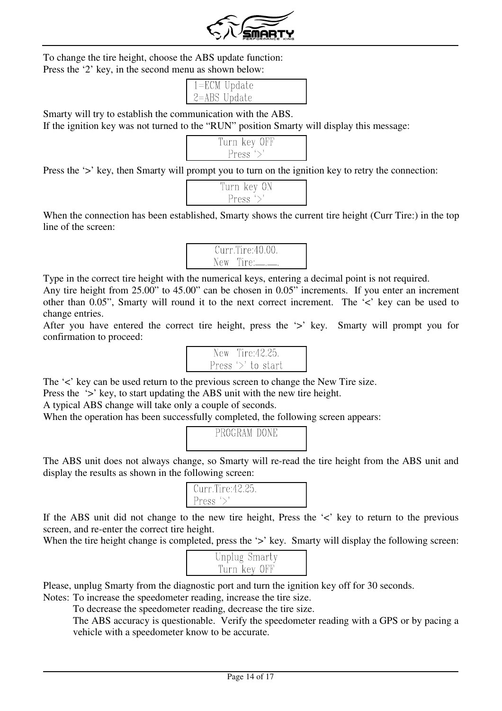

To change the tire height, choose the ABS update function: Press the '2' key, in the second menu as shown below:

| $1 = ECM$ Update |  |
|------------------|--|
| $2 = ABS$ Update |  |

Smarty will try to establish the communication with the ABS.

If the ignition key was not turned to the "RUN" position Smarty will display this message:

| Turn key OFF |  |
|--------------|--|
| Press $\geq$ |  |

Press the '>' key, then Smarty will prompt you to turn on the ignition key to retry the connection:

| Turn key ON          |  |
|----------------------|--|
| Press $\mathcal{P}'$ |  |

When the connection has been established, Smarty shows the current tire height (Curr Tire:) in the top line of the screen:



Type in the correct tire height with the numerical keys, entering a decimal point is not required.

Any tire height from 25.00" to 45.00" can be chosen in 0.05" increments. If you enter an increment other than 0.05", Smarty will round it to the next correct increment. The '<' key can be used to change entries.

After you have entered the correct tire height, press the '>' key. Smarty will prompt you for confirmation to proceed:

| New Tire:42.25.       |  |  |
|-----------------------|--|--|
| Press $\geq$ to start |  |  |

The ' $\lt'$ ' key can be used return to the previous screen to change the New Tire size.

Press the '>' key, to start updating the ABS unit with the new tire height.

A typical ABS change will take only a couple of seconds.

When the operation has been successfully completed, the following screen appears:



The ABS unit does not always change, so Smarty will re-read the tire height from the ABS unit and display the results as shown in the following screen:

| Curr.Tire:42.25. |  |
|------------------|--|
| Press $\geq$     |  |

If the ABS unit did not change to the new tire height, Press the  $\leq$  key to return to the previous screen, and re-enter the correct tire height.

When the tire height change is completed, press the '>' key. Smarty will display the following screen:

| Unplug Smarty |  |
|---------------|--|
| Turn key OFF  |  |

Please, unplug Smarty from the diagnostic port and turn the ignition key off for 30 seconds.

Notes: To increase the speedometer reading, increase the tire size.

To decrease the speedometer reading, decrease the tire size.

The ABS accuracy is questionable. Verify the speedometer reading with a GPS or by pacing a vehicle with a speedometer know to be accurate.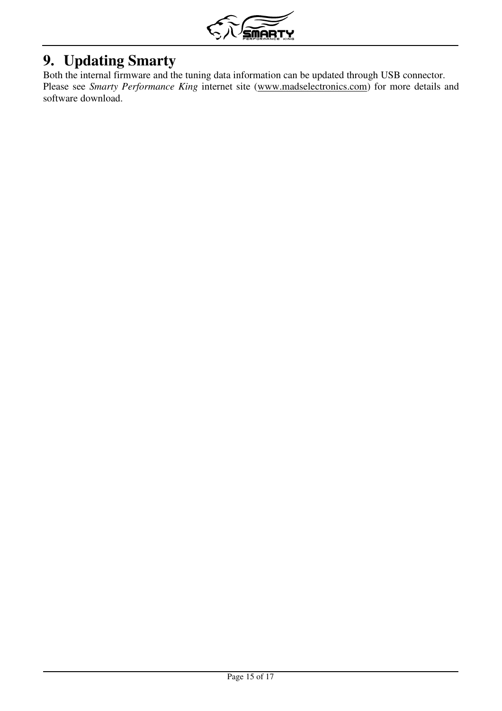

# **9. Updating Smarty**

Both the internal firmware and the tuning data information can be updated through USB connector. Please see *Smarty Performance King* internet site (www.madselectronics.com) for more details and software download.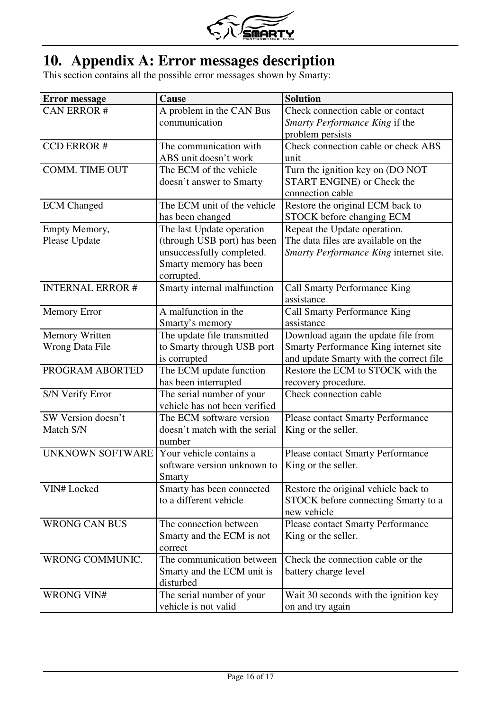

## **10. Appendix A: Error messages description**

This section contains all the possible error messages shown by Smarty:

| <b>Error</b> message    | <b>Cause</b>                  | <b>Solution</b>                          |
|-------------------------|-------------------------------|------------------------------------------|
| <b>CAN ERROR#</b>       | A problem in the CAN Bus      | Check connection cable or contact        |
|                         | communication                 | Smarty Performance King if the           |
|                         |                               | problem persists                         |
| <b>CCD ERROR#</b>       | The communication with        | Check connection cable or check ABS      |
|                         | ABS unit doesn't work         | unit                                     |
| <b>COMM. TIME OUT</b>   | The ECM of the vehicle        | Turn the ignition key on (DO NOT         |
|                         | doesn't answer to Smarty      | <b>START ENGINE)</b> or Check the        |
|                         |                               | connection cable                         |
| <b>ECM</b> Changed      | The ECM unit of the vehicle   | Restore the original ECM back to         |
|                         | has been changed              | STOCK before changing ECM                |
| Empty Memory,           | The last Update operation     | Repeat the Update operation.             |
| Please Update           | (through USB port) has been   | The data files are available on the      |
|                         | unsuccessfully completed.     | Smarty Performance King internet site.   |
|                         | Smarty memory has been        |                                          |
|                         | corrupted.                    |                                          |
| <b>INTERNAL ERROR#</b>  | Smarty internal malfunction   | Call Smarty Performance King             |
|                         |                               | assistance                               |
| <b>Memory Error</b>     | A malfunction in the          | Call Smarty Performance King             |
|                         | Smarty's memory               | assistance                               |
| Memory Written          | The update file transmitted   | Download again the update file from      |
| <b>Wrong Data File</b>  | to Smarty through USB port    | Smarty Performance King internet site    |
|                         | is corrupted                  | and update Smarty with the correct file  |
| PROGRAM ABORTED         | The ECM update function       | Restore the ECM to STOCK with the        |
|                         | has been interrupted          | recovery procedure.                      |
| S/N Verify Error        | The serial number of your     | Check connection cable                   |
|                         | vehicle has not been verified |                                          |
| SW Version doesn't      | The ECM software version      | <b>Please contact Smarty Performance</b> |
| Match S/N               | doesn't match with the serial | King or the seller.                      |
|                         | number                        |                                          |
| <b>UNKNOWN SOFTWARE</b> | Your vehicle contains a       | <b>Please contact Smarty Performance</b> |
|                         | software version unknown to   | King or the seller.                      |
|                         | Smarty                        |                                          |
| <b>VIN# Locked</b>      | Smarty has been connected     | Restore the original vehicle back to     |
|                         | to a different vehicle        | STOCK before connecting Smarty to a      |
|                         |                               | new vehicle                              |
| <b>WRONG CAN BUS</b>    | The connection between        | <b>Please contact Smarty Performance</b> |
|                         | Smarty and the ECM is not     | King or the seller.                      |
|                         | correct                       |                                          |
| WRONG COMMUNIC.         | The communication between     | Check the connection cable or the        |
|                         | Smarty and the ECM unit is    | battery charge level                     |
|                         | disturbed                     |                                          |
| <b>WRONG VIN#</b>       | The serial number of your     | Wait 30 seconds with the ignition key    |
|                         | vehicle is not valid          | on and try again                         |